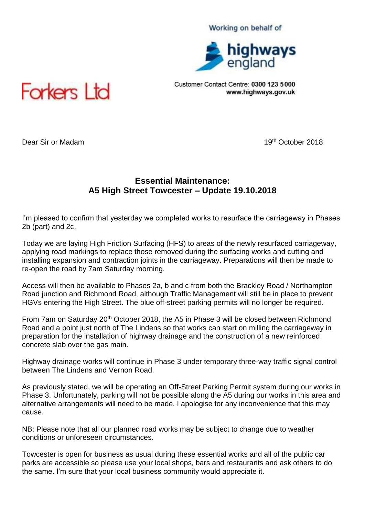## Working on behalf of



Customer Contact Centre: 0300 123 5000 www.highways.gov.uk



**Dear Sir or Madam 19th October 2018 19th October 2018** 

## **Essential Maintenance: A5 High Street Towcester – Update 19.10.2018**

I'm pleased to confirm that yesterday we completed works to resurface the carriageway in Phases 2b (part) and 2c.

Today we are laying High Friction Surfacing (HFS) to areas of the newly resurfaced carriageway, applying road markings to replace those removed during the surfacing works and cutting and installing expansion and contraction joints in the carriageway. Preparations will then be made to re-open the road by 7am Saturday morning.

Access will then be available to Phases 2a, b and c from both the Brackley Road / Northampton Road junction and Richmond Road, although Traffic Management will still be in place to prevent HGVs entering the High Street. The blue off-street parking permits will no longer be required.

From 7am on Saturday 20<sup>th</sup> October 2018, the A5 in Phase 3 will be closed between Richmond Road and a point just north of The Lindens so that works can start on milling the carriageway in preparation for the installation of highway drainage and the construction of a new reinforced concrete slab over the gas main.

Highway drainage works will continue in Phase 3 under temporary three-way traffic signal control between The Lindens and Vernon Road.

As previously stated, we will be operating an Off-Street Parking Permit system during our works in Phase 3. Unfortunately, parking will not be possible along the A5 during our works in this area and alternative arrangements will need to be made. I apologise for any inconvenience that this may cause.

NB: Please note that all our planned road works may be subject to change due to weather conditions or unforeseen circumstances.

Towcester is open for business as usual during these essential works and all of the public car parks are accessible so please use your local shops, bars and restaurants and ask others to do the same. I'm sure that your local business community would appreciate it.